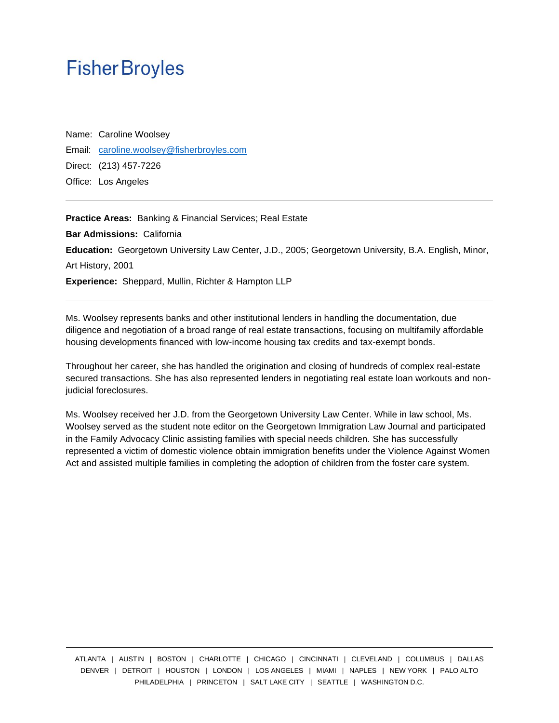## **Fisher Broyles**

Name: Caroline Woolsey Email: [caroline.woolsey@fisherbroyles.com](mailto:caroline.woolsey@fisherbroyles.com) Direct: (213) 457-7226 Office: Los Angeles

**Practice Areas:** Banking & Financial Services; Real Estate **Bar Admissions:** California **Education:** Georgetown University Law Center, J.D., 2005; Georgetown University, B.A. English, Minor, Art History, 2001 **Experience:** Sheppard, Mullin, Richter & Hampton LLP

Ms. Woolsey represents banks and other institutional lenders in handling the documentation, due diligence and negotiation of a broad range of real estate transactions, focusing on multifamily affordable housing developments financed with low-income housing tax credits and tax-exempt bonds.

Throughout her career, she has handled the origination and closing of hundreds of complex real-estate secured transactions. She has also represented lenders in negotiating real estate loan workouts and nonjudicial foreclosures.

Ms. Woolsey received her J.D. from the Georgetown University Law Center. While in law school, Ms. Woolsey served as the student note editor on the Georgetown Immigration Law Journal and participated in the Family Advocacy Clinic assisting families with special needs children. She has successfully represented a victim of domestic violence obtain immigration benefits under the Violence Against Women Act and assisted multiple families in completing the adoption of children from the foster care system.

ATLANTA | AUSTIN | BOSTON | CHARLOTTE | CHICAGO | CINCINNATI | CLEVELAND | COLUMBUS | DALLAS DENVER | DETROIT | HOUSTON | LONDON | LOS ANGELES | MIAMI | NAPLES | NEW YORK | PALO ALTO PHILADELPHIA | PRINCETON | SALT LAKE CITY | SEATTLE | WASHINGTON D.C.